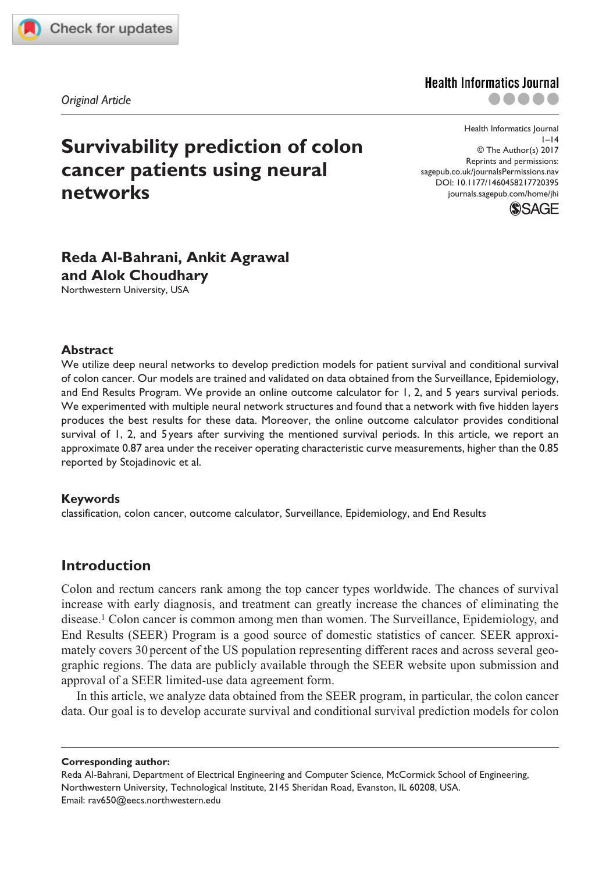

*research-article*2017

*Original Article*

# **Survivability prediction of colon cancer patients using neural networks**

DOI: 10.1177/1460458217720395 Health Informatics Journal  $1-14$ © The Author(s) 2017 Reprints and permissions: [sagepub.co.uk/journalsPermissions.nav](https://uk.sagepub.com/en-gb/journals-permissions) [journals.sagepub.com/home/jhi](https://journals.sagepub.com/home/jhi)

**Health Informatics Journal** 



# **Reda Al-Bahrani, Ankit Agrawal and Alok Choudhary**

Northwestern University, USA

#### **Abstract**

We utilize deep neural networks to develop prediction models for patient survival and conditional survival of colon cancer. Our models are trained and validated on data obtained from the Surveillance, Epidemiology, and End Results Program. We provide an online outcome calculator for 1, 2, and 5 years survival periods. We experimented with multiple neural network structures and found that a network with five hidden layers produces the best results for these data. Moreover, the online outcome calculator provides conditional survival of 1, 2, and 5 years after surviving the mentioned survival periods. In this article, we report an approximate 0.87 area under the receiver operating characteristic curve measurements, higher than the 0.85 reported by Stojadinovic et al.

#### **Keywords**

classification, colon cancer, outcome calculator, Surveillance, Epidemiology, and End Results

# **Introduction**

Colon and rectum cancers rank among the top cancer types worldwide. The chances of survival increase with early diagnosis, and treatment can greatly increase the chances of eliminating the disease.1 Colon cancer is common among men than women. The Surveillance, Epidemiology, and End Results (SEER) Program is a good source of domestic statistics of cancer. SEER approximately covers 30 percent of the US population representing different races and across several geographic regions. The data are publicly available through the SEER website upon submission and approval of a SEER limited-use data agreement form.

In this article, we analyze data obtained from the SEER program, in particular, the colon cancer data. Our goal is to develop accurate survival and conditional survival prediction models for colon

**Corresponding author:**

Reda Al-Bahrani, Department of Electrical Engineering and Computer Science, McCormick School of Engineering, Northwestern University, Technological Institute, 2145 Sheridan Road, Evanston, IL 60208, USA. Email: [rav650@eecs.northwestern.edu](mailto:rav650@eecs.northwestern.edu)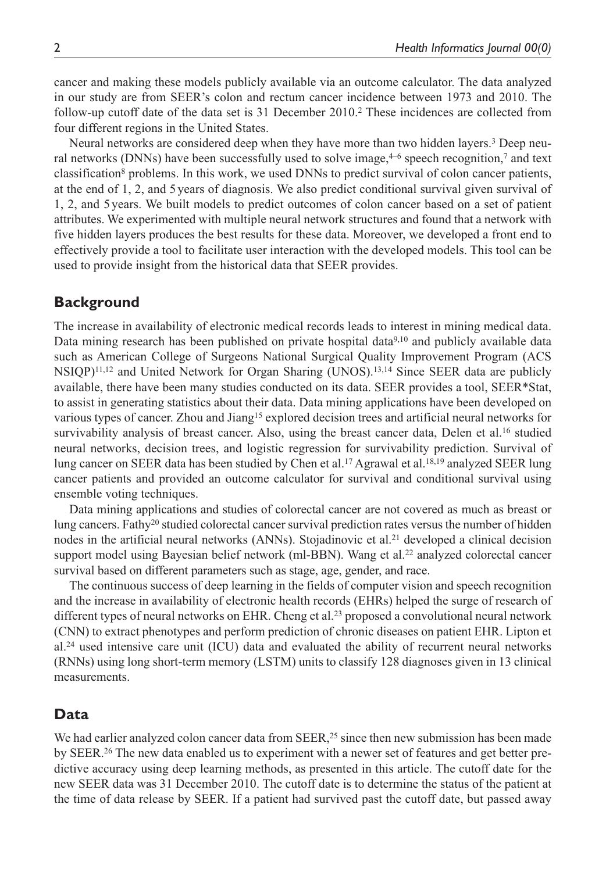cancer and making these models publicly available via an outcome calculator. The data analyzed in our study are from SEER's colon and rectum cancer incidence between 1973 and 2010. The follow-up cutoff date of the data set is 31 December 2010.2 These incidences are collected from four different regions in the United States.

Neural networks are considered deep when they have more than two hidden layers.<sup>3</sup> Deep neural networks (DNNs) have been successfully used to solve image, $4-6$  speech recognition,<sup>7</sup> and text classification<sup>8</sup> problems. In this work, we used DNNs to predict survival of colon cancer patients, at the end of 1, 2, and 5 years of diagnosis. We also predict conditional survival given survival of 1, 2, and 5years. We built models to predict outcomes of colon cancer based on a set of patient attributes. We experimented with multiple neural network structures and found that a network with five hidden layers produces the best results for these data. Moreover, we developed a front end to effectively provide a tool to facilitate user interaction with the developed models. This tool can be used to provide insight from the historical data that SEER provides.

## **Background**

The increase in availability of electronic medical records leads to interest in mining medical data. Data mining research has been published on private hospital data<sup>9,10</sup> and publicly available data such as American College of Surgeons National Surgical Quality Improvement Program (ACS NSIQP)11,12 and United Network for Organ Sharing (UNOS).13,14 Since SEER data are publicly available, there have been many studies conducted on its data. SEER provides a tool, SEER\*Stat, to assist in generating statistics about their data. Data mining applications have been developed on various types of cancer. Zhou and Jiang<sup>15</sup> explored decision trees and artificial neural networks for survivability analysis of breast cancer. Also, using the breast cancer data, Delen et al.<sup>16</sup> studied neural networks, decision trees, and logistic regression for survivability prediction. Survival of lung cancer on SEER data has been studied by Chen et al.17 Agrawal et al.18,19 analyzed SEER lung cancer patients and provided an outcome calculator for survival and conditional survival using ensemble voting techniques.

Data mining applications and studies of colorectal cancer are not covered as much as breast or lung cancers. Fathy20 studied colorectal cancer survival prediction rates versus the number of hidden nodes in the artificial neural networks (ANNs). Stojadinovic et al.21 developed a clinical decision support model using Bayesian belief network (ml-BBN). Wang et al.<sup>22</sup> analyzed colorectal cancer survival based on different parameters such as stage, age, gender, and race.

The continuous success of deep learning in the fields of computer vision and speech recognition and the increase in availability of electronic health records (EHRs) helped the surge of research of different types of neural networks on EHR. Cheng et al.<sup>23</sup> proposed a convolutional neural network (CNN) to extract phenotypes and perform prediction of chronic diseases on patient EHR. Lipton et al.24 used intensive care unit (ICU) data and evaluated the ability of recurrent neural networks (RNNs) using long short-term memory (LSTM) units to classify 128 diagnoses given in 13 clinical measurements.

# **Data**

We had earlier analyzed colon cancer data from  $SEER<sub>1</sub><sup>25</sup>$  since then new submission has been made by SEER.26 The new data enabled us to experiment with a newer set of features and get better predictive accuracy using deep learning methods, as presented in this article. The cutoff date for the new SEER data was 31 December 2010. The cutoff date is to determine the status of the patient at the time of data release by SEER. If a patient had survived past the cutoff date, but passed away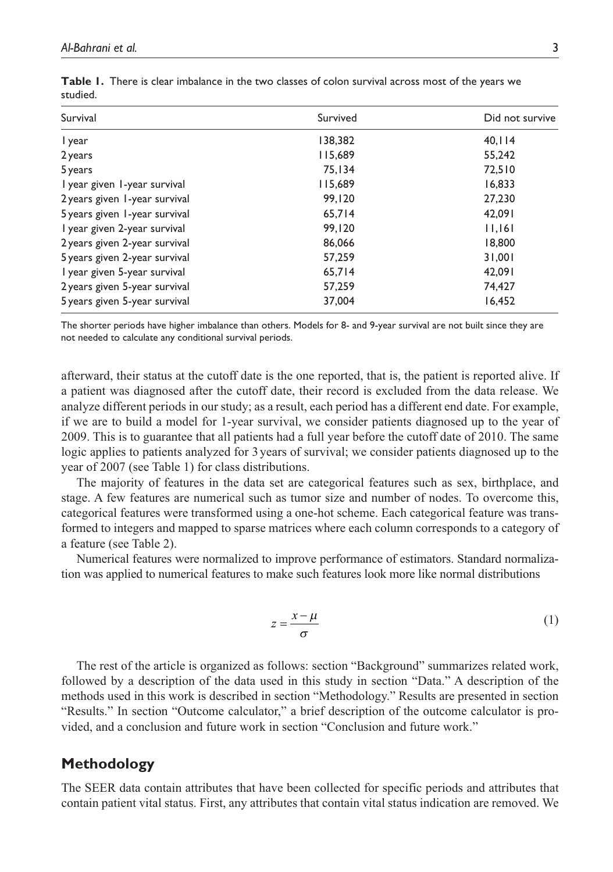| Survival                      | Survived | Did not survive |
|-------------------------------|----------|-----------------|
| I year                        | 138,382  | 40,114          |
| 2 years                       | 115,689  | 55.242          |
| 5 years                       | 75.134   | 72,510          |
| I year given 1-year survival  | 115,689  | 16,833          |
| 2 years given 1-year survival | 99.120   | 27,230          |
| 5 years given 1-year survival | 65.714   | 42.091          |
| I year given 2-year survival  | 99.120   | 11,161          |
| 2 years given 2-year survival | 86,066   | 18,800          |
| 5 years given 2-year survival | 57,259   | 31,001          |
| I year given 5-year survival  | 65.714   | 42.091          |
| 2 years given 5-year survival | 57,259   | 74,427          |
| 5 years given 5-year survival | 37,004   | 16,452          |
|                               |          |                 |

|          | Table 1. There is clear imbalance in the two classes of colon survival across most of the years we |  |  |  |  |  |
|----------|----------------------------------------------------------------------------------------------------|--|--|--|--|--|
| studied. |                                                                                                    |  |  |  |  |  |

The shorter periods have higher imbalance than others. Models for 8- and 9-year survival are not built since they are not needed to calculate any conditional survival periods.

afterward, their status at the cutoff date is the one reported, that is, the patient is reported alive. If a patient was diagnosed after the cutoff date, their record is excluded from the data release. We analyze different periods in our study; as a result, each period has a different end date. For example, if we are to build a model for 1-year survival, we consider patients diagnosed up to the year of 2009. This is to guarantee that all patients had a full year before the cutoff date of 2010. The same logic applies to patients analyzed for 3 years of survival; we consider patients diagnosed up to the year of 2007 (see Table 1) for class distributions.

The majority of features in the data set are categorical features such as sex, birthplace, and stage. A few features are numerical such as tumor size and number of nodes. To overcome this, categorical features were transformed using a one-hot scheme. Each categorical feature was transformed to integers and mapped to sparse matrices where each column corresponds to a category of a feature (see Table 2).

Numerical features were normalized to improve performance of estimators. Standard normalization was applied to numerical features to make such features look more like normal distributions

$$
z = \frac{x - \mu}{\sigma} \tag{1}
$$

The rest of the article is organized as follows: section "Background" summarizes related work, followed by a description of the data used in this study in section "Data." A description of the methods used in this work is described in section "Methodology." Results are presented in section "Results." In section "Outcome calculator," a brief description of the outcome calculator is provided, and a conclusion and future work in section "Conclusion and future work."

# **Methodology**

The SEER data contain attributes that have been collected for specific periods and attributes that contain patient vital status. First, any attributes that contain vital status indication are removed. We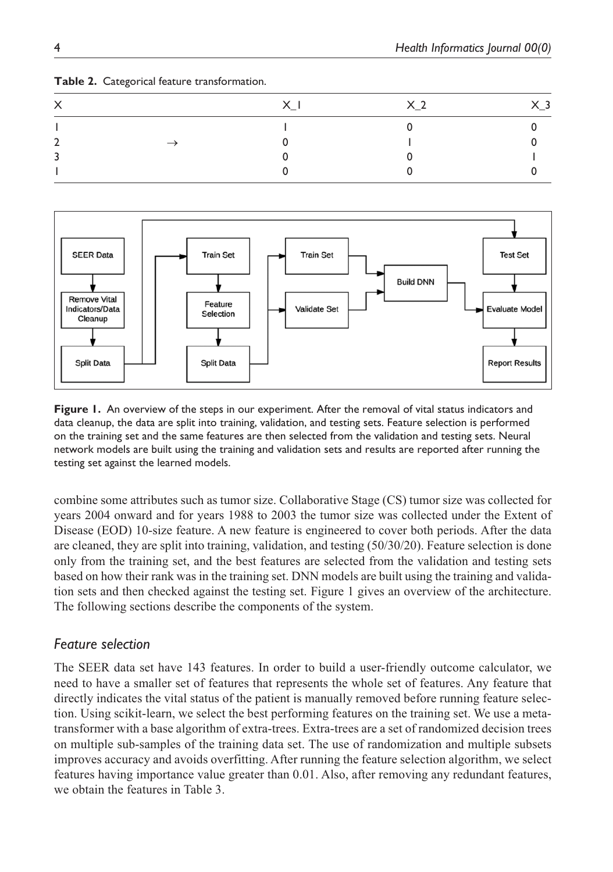| $\checkmark$<br>⌒ | X <sub>1</sub> | X <sub>2</sub> | 〈 3 |
|-------------------|----------------|----------------|-----|
|                   |                |                |     |
|                   |                |                |     |
|                   |                |                |     |
|                   |                |                |     |

#### **Table 2.** Categorical feature transformation.



**Figure 1.** An overview of the steps in our experiment. After the removal of vital status indicators and data cleanup, the data are split into training, validation, and testing sets. Feature selection is performed on the training set and the same features are then selected from the validation and testing sets. Neural network models are built using the training and validation sets and results are reported after running the testing set against the learned models.

combine some attributes such as tumor size. Collaborative Stage (CS) tumor size was collected for years 2004 onward and for years 1988 to 2003 the tumor size was collected under the Extent of Disease (EOD) 10-size feature. A new feature is engineered to cover both periods. After the data are cleaned, they are split into training, validation, and testing (50/30/20). Feature selection is done only from the training set, and the best features are selected from the validation and testing sets based on how their rank was in the training set. DNN models are built using the training and validation sets and then checked against the testing set. Figure 1 gives an overview of the architecture. The following sections describe the components of the system.

#### *Feature selection*

The SEER data set have 143 features. In order to build a user-friendly outcome calculator, we need to have a smaller set of features that represents the whole set of features. Any feature that directly indicates the vital status of the patient is manually removed before running feature selection. Using scikit-learn, we select the best performing features on the training set. We use a metatransformer with a base algorithm of extra-trees. Extra-trees are a set of randomized decision trees on multiple sub-samples of the training data set. The use of randomization and multiple subsets improves accuracy and avoids overfitting. After running the feature selection algorithm, we select features having importance value greater than 0.01. Also, after removing any redundant features, we obtain the features in Table 3.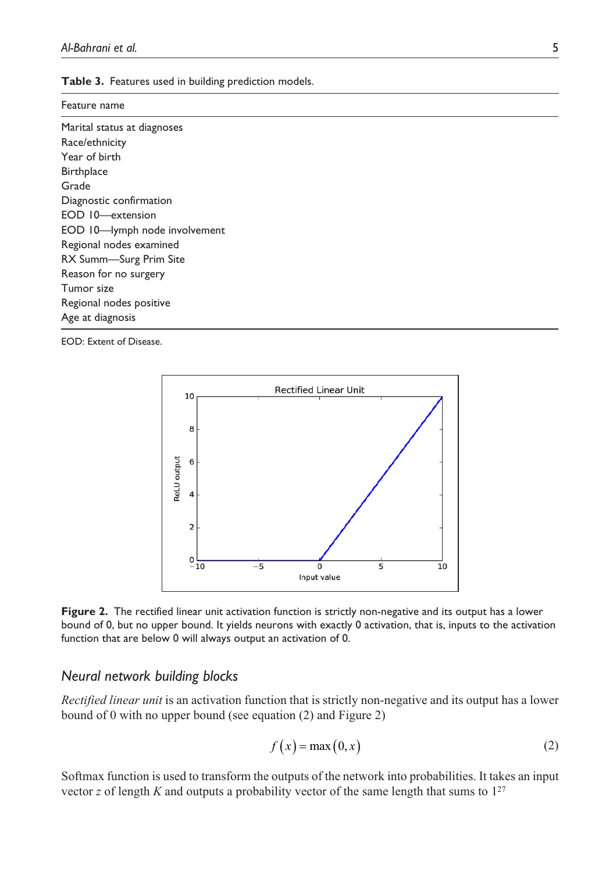|  |  |  |  |  | Table 3. Features used in building prediction models. |  |
|--|--|--|--|--|-------------------------------------------------------|--|
|--|--|--|--|--|-------------------------------------------------------|--|

| Feature name                  |
|-------------------------------|
| Marital status at diagnoses   |
| Race/ethnicity                |
| Year of birth                 |
| <b>Birthplace</b>             |
| Grade                         |
| Diagnostic confirmation       |
| EOD 10-extension              |
| EOD 10-lymph node involvement |
| Regional nodes examined       |
| RX Summ-Surg Prim Site        |
| Reason for no surgery         |
| Tumor size                    |
| Regional nodes positive       |
| Age at diagnosis              |
|                               |

EOD: Extent of Disease.





#### *Neural network building blocks*

*Rectified linear unit* is an activation function that is strictly non-negative and its output has a lower bound of 0 with no upper bound (see equation (2) and Figure 2)

$$
f(x) = \max(0, x) \tag{2}
$$

Softmax function is used to transform the outputs of the network into probabilities. It takes an input vector *z* of length *K* and outputs a probability vector of the same length that sums to  $1^{27}$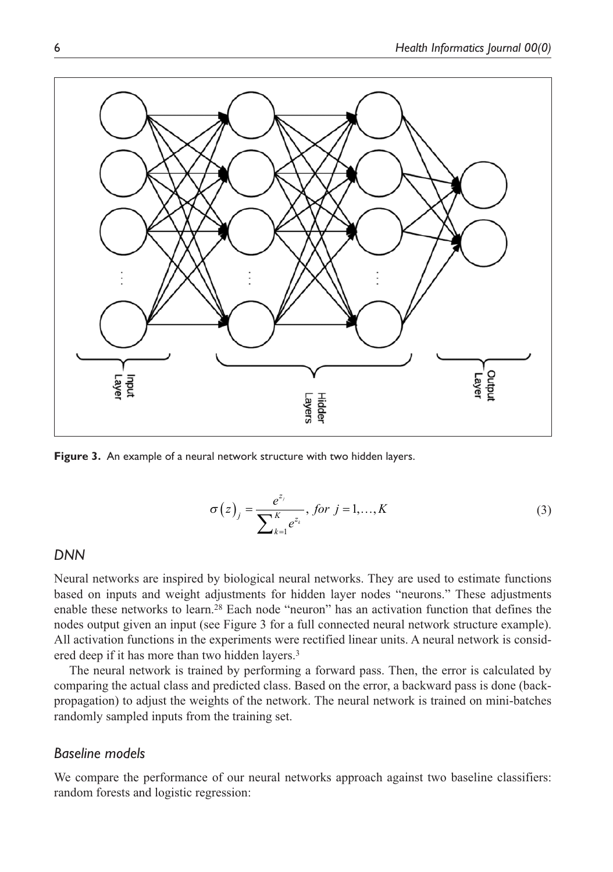

**Figure 3.** An example of a neural network structure with two hidden layers.

$$
\sigma(z)_j = \frac{e^{z_j}}{\sum_{k=1}^K e^{z_k}}, \text{ for } j = 1, ..., K
$$
 (3)

#### *DNN*

Neural networks are inspired by biological neural networks. They are used to estimate functions based on inputs and weight adjustments for hidden layer nodes "neurons." These adjustments enable these networks to learn.28 Each node "neuron" has an activation function that defines the nodes output given an input (see Figure 3 for a full connected neural network structure example). All activation functions in the experiments were rectified linear units. A neural network is considered deep if it has more than two hidden layers.<sup>3</sup>

The neural network is trained by performing a forward pass. Then, the error is calculated by comparing the actual class and predicted class. Based on the error, a backward pass is done (backpropagation) to adjust the weights of the network. The neural network is trained on mini-batches randomly sampled inputs from the training set.

#### *Baseline models*

We compare the performance of our neural networks approach against two baseline classifiers: random forests and logistic regression: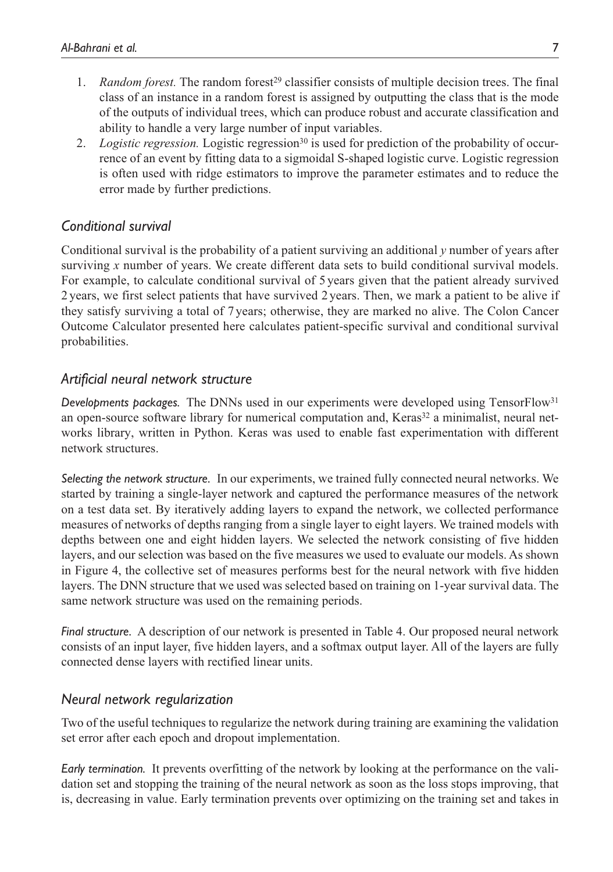- 1. *Random forest*. The random forest<sup>29</sup> classifier consists of multiple decision trees. The final class of an instance in a random forest is assigned by outputting the class that is the mode of the outputs of individual trees, which can produce robust and accurate classification and ability to handle a very large number of input variables.
- 2. *Logistic regression*. Logistic regression<sup>30</sup> is used for prediction of the probability of occurrence of an event by fitting data to a sigmoidal S-shaped logistic curve. Logistic regression is often used with ridge estimators to improve the parameter estimates and to reduce the error made by further predictions.

# *Conditional survival*

Conditional survival is the probability of a patient surviving an additional *y* number of years after surviving *x* number of years. We create different data sets to build conditional survival models. For example, to calculate conditional survival of 5 years given that the patient already survived 2 years, we first select patients that have survived 2 years. Then, we mark a patient to be alive if they satisfy surviving a total of 7 years; otherwise, they are marked no alive. The Colon Cancer Outcome Calculator presented here calculates patient-specific survival and conditional survival probabilities.

# *Artificial neural network structure*

*Developments packages.* The DNNs used in our experiments were developed using TensorFlow31 an open-source software library for numerical computation and, Keras<sup>32</sup> a minimalist, neural networks library, written in Python. Keras was used to enable fast experimentation with different network structures.

*Selecting the network structure.* In our experiments, we trained fully connected neural networks. We started by training a single-layer network and captured the performance measures of the network on a test data set. By iteratively adding layers to expand the network, we collected performance measures of networks of depths ranging from a single layer to eight layers. We trained models with depths between one and eight hidden layers. We selected the network consisting of five hidden layers, and our selection was based on the five measures we used to evaluate our models. As shown in Figure 4, the collective set of measures performs best for the neural network with five hidden layers. The DNN structure that we used was selected based on training on 1-year survival data. The same network structure was used on the remaining periods.

*Final structure.* A description of our network is presented in Table 4. Our proposed neural network consists of an input layer, five hidden layers, and a softmax output layer. All of the layers are fully connected dense layers with rectified linear units.

# *Neural network regularization*

Two of the useful techniques to regularize the network during training are examining the validation set error after each epoch and dropout implementation.

*Early termination.* It prevents overfitting of the network by looking at the performance on the validation set and stopping the training of the neural network as soon as the loss stops improving, that is, decreasing in value. Early termination prevents over optimizing on the training set and takes in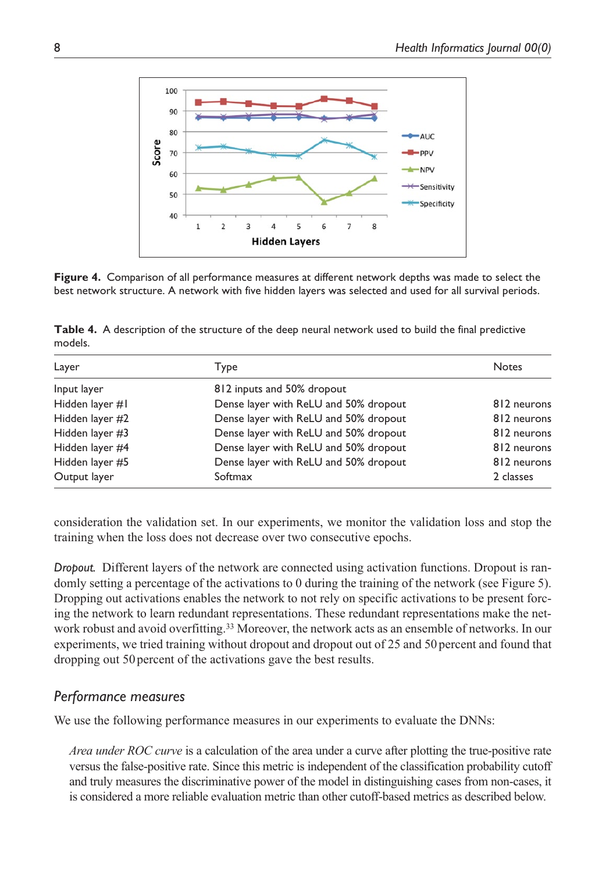

**Figure 4.** Comparison of all performance measures at different network depths was made to select the best network structure. A network with five hidden layers was selected and used for all survival periods.

**Table 4.** A description of the structure of the deep neural network used to build the final predictive models.

| Layer           | Type                                  | <b>Notes</b> |
|-----------------|---------------------------------------|--------------|
| Input layer     | 812 inputs and 50% dropout            |              |
| Hidden layer #1 | Dense layer with ReLU and 50% dropout | 812 neurons  |
| Hidden layer #2 | Dense layer with ReLU and 50% dropout | 812 neurons  |
| Hidden layer #3 | Dense layer with ReLU and 50% dropout | 812 neurons  |
| Hidden layer #4 | Dense layer with ReLU and 50% dropout | 812 neurons  |
| Hidden layer #5 | Dense layer with ReLU and 50% dropout | 812 neurons  |
| Output layer    | Softmax                               | 2 classes    |

consideration the validation set. In our experiments, we monitor the validation loss and stop the training when the loss does not decrease over two consecutive epochs.

*Dropout.* Different layers of the network are connected using activation functions. Dropout is randomly setting a percentage of the activations to 0 during the training of the network (see Figure 5). Dropping out activations enables the network to not rely on specific activations to be present forcing the network to learn redundant representations. These redundant representations make the network robust and avoid overfitting.33 Moreover, the network acts as an ensemble of networks. In our experiments, we tried training without dropout and dropout out of 25 and 50 percent and found that dropping out 50 percent of the activations gave the best results.

# *Performance measures*

We use the following performance measures in our experiments to evaluate the DNNs:

*Area under ROC curve* is a calculation of the area under a curve after plotting the true-positive rate versus the false-positive rate. Since this metric is independent of the classification probability cutoff and truly measures the discriminative power of the model in distinguishing cases from non-cases, it is considered a more reliable evaluation metric than other cutoff-based metrics as described below.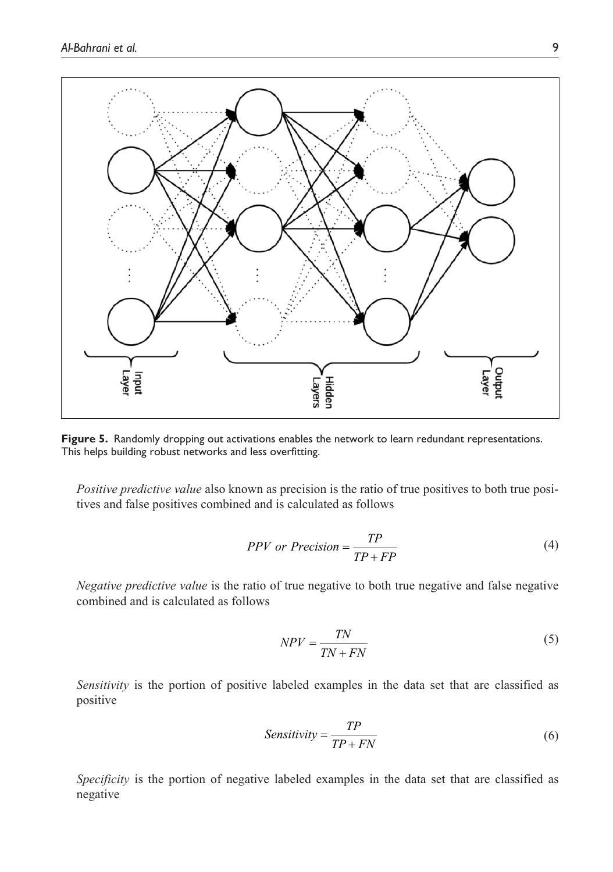

Figure 5. Randomly dropping out activations enables the network to learn redundant representations. This helps building robust networks and less overfitting.

*Positive predictive value* also known as precision is the ratio of true positives to both true positives and false positives combined and is calculated as follows

$$
PPV \text{ or } Precision = \frac{TP}{TP + FP}
$$
\n<sup>(4)</sup>

*Negative predictive value* is the ratio of true negative to both true negative and false negative combined and is calculated as follows

$$
NPV = \frac{TN}{TN + FN}
$$
\n<sup>(5)</sup>

*Sensitivity* is the portion of positive labeled examples in the data set that are classified as positive

$$
Sensitivity = \frac{TP}{TP + FN}
$$
 (6)

*Specificity* is the portion of negative labeled examples in the data set that are classified as negative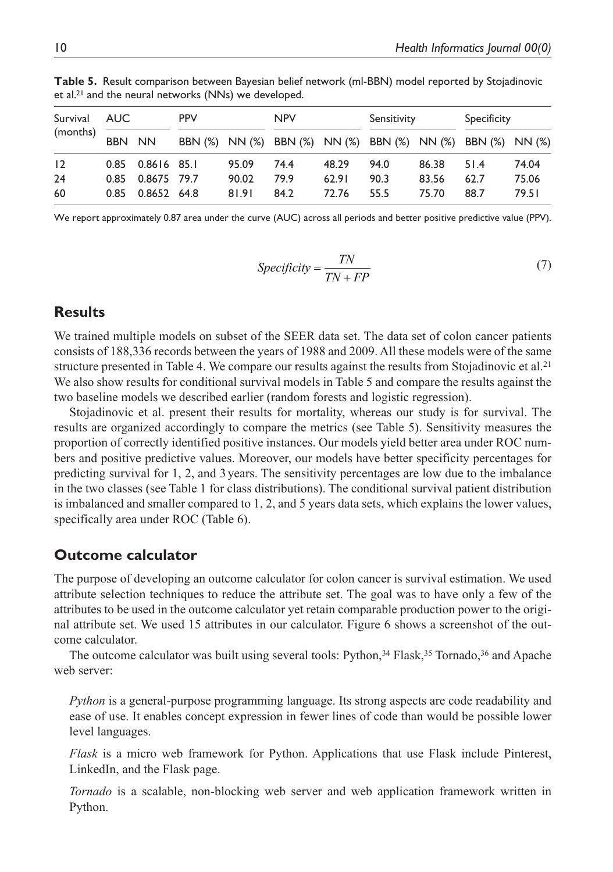| Survival | AUC    |             | <b>PPV</b> |       | <b>NPV</b> |       | Sensitivity                                                 |       | Specificity |       |
|----------|--------|-------------|------------|-------|------------|-------|-------------------------------------------------------------|-------|-------------|-------|
| (months) | BBN NN |             |            |       |            |       | BBN (%) NN (%) BBN (%) NN (%) BBN (%) NN (%) BBN (%) NN (%) |       |             |       |
| 12       | 0.85   | 0.8616 85.1 |            | 95.09 | 74.4       | 48.29 | 94.0                                                        | 86.38 | 51.4        | 74.04 |
| 24       | 0.85   | 0.8675 79.7 |            | 90.02 | 79.9       | 62.91 | 90.3                                                        | 83.56 | 62.7        | 75.06 |
| 60       | 0.85   | 0.8652 64.8 |            | 81.91 | 84.2       | 72.76 | 55.5                                                        | 75.70 | 88.7        | 79.51 |

**Table 5.** Result comparison between Bayesian belief network (ml-BBN) model reported by Stojadinovic et al.21 and the neural networks (NNs) we developed.

We report approximately 0.87 area under the curve (AUC) across all periods and better positive predictive value (PPV).

$$
Specificity = \frac{TN}{TN + FP}
$$
 (7)

## **Results**

We trained multiple models on subset of the SEER data set. The data set of colon cancer patients consists of 188,336 records between the years of 1988 and 2009. All these models were of the same structure presented in Table 4. We compare our results against the results from Stojadinovic et al.<sup>21</sup> We also show results for conditional survival models in Table 5 and compare the results against the two baseline models we described earlier (random forests and logistic regression).

Stojadinovic et al. present their results for mortality, whereas our study is for survival. The results are organized accordingly to compare the metrics (see Table 5). Sensitivity measures the proportion of correctly identified positive instances. Our models yield better area under ROC numbers and positive predictive values. Moreover, our models have better specificity percentages for predicting survival for 1, 2, and 3 years. The sensitivity percentages are low due to the imbalance in the two classes (see Table 1 for class distributions). The conditional survival patient distribution is imbalanced and smaller compared to 1, 2, and 5 years data sets, which explains the lower values, specifically area under ROC (Table 6).

#### **Outcome calculator**

The purpose of developing an outcome calculator for colon cancer is survival estimation. We used attribute selection techniques to reduce the attribute set. The goal was to have only a few of the attributes to be used in the outcome calculator yet retain comparable production power to the original attribute set. We used 15 attributes in our calculator. Figure 6 shows a screenshot of the outcome calculator.

The outcome calculator was built using several tools: Python, $34$  Flask, $35$  Tornado, $36$  and Apache web server:

*Python* is a general-purpose programming language. Its strong aspects are code readability and ease of use. It enables concept expression in fewer lines of code than would be possible lower level languages.

*Flask* is a micro web framework for Python. Applications that use Flask include Pinterest, LinkedIn, and the Flask page.

*Tornado* is a scalable, non-blocking web server and web application framework written in Python.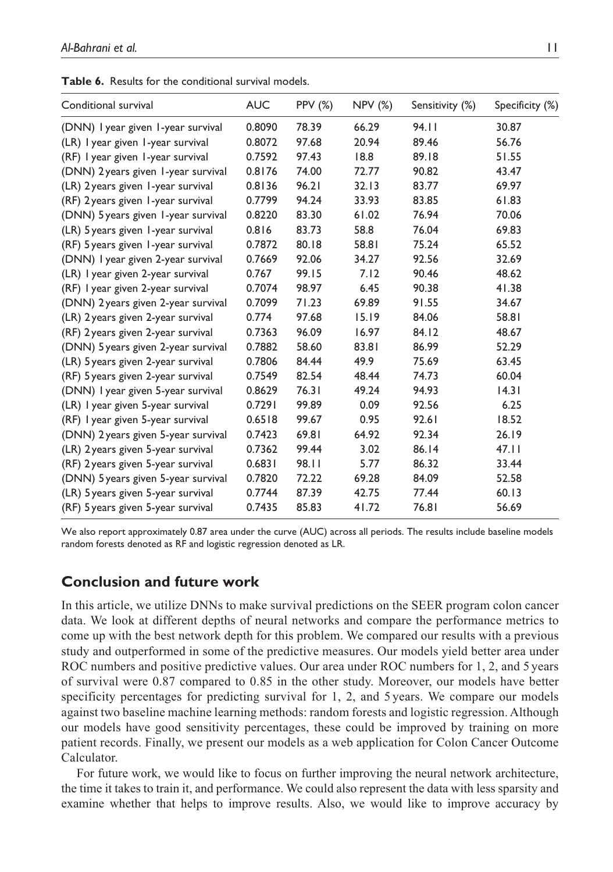| Conditional survival                | <b>AUC</b> | <b>PPV (%)</b> | <b>NPV (%)</b> | Sensitivity (%) | Specificity (%) |
|-------------------------------------|------------|----------------|----------------|-----------------|-----------------|
| (DNN) I year given I-year survival  | 0.8090     | 78.39          | 66.29          | 94.11           | 30.87           |
| (LR) I year given I-year survival   | 0.8072     | 97.68          | 20.94          | 89.46           | 56.76           |
| (RF) I year given I-year survival   | 0.7592     | 97.43          | 18.8           | 89.18           | 51.55           |
| (DNN) 2 years given 1-year survival | 0.8176     | 74.00          | 72.77          | 90.82           | 43.47           |
| (LR) 2 years given 1-year survival  | 0.8136     | 96.21          | 32.13          | 83.77           | 69.97           |
| (RF) 2 years given 1-year survival  | 0.7799     | 94.24          | 33.93          | 83.85           | 61.83           |
| (DNN) 5 years given 1-year survival | 0.8220     | 83.30          | 61.02          | 76.94           | 70.06           |
| (LR) 5 years given 1-year survival  | 0.816      | 83.73          | 58.8           | 76.04           | 69.83           |
| (RF) 5 years given 1-year survival  | 0.7872     | 80.18          | 58.81          | 75.24           | 65.52           |
| (DNN) I year given 2-year survival  | 0.7669     | 92.06          | 34.27          | 92.56           | 32.69           |
| (LR) I year given 2-year survival   | 0.767      | 99.15          | 7.12           | 90.46           | 48.62           |
| (RF) I year given 2-year survival   | 0.7074     | 98.97          | 6.45           | 90.38           | 41.38           |
| (DNN) 2 years given 2-year survival | 0.7099     | 71.23          | 69.89          | 91.55           | 34.67           |
| (LR) 2 years given 2-year survival  | 0.774      | 97.68          | 15.19          | 84.06           | 58.81           |
| (RF) 2 years given 2-year survival  | 0.7363     | 96.09          | 16.97          | 84.12           | 48.67           |
| (DNN) 5 years given 2-year survival | 0.7882     | 58.60          | 83.81          | 86.99           | 52.29           |
| (LR) 5 years given 2-year survival  | 0.7806     | 84.44          | 49.9           | 75.69           | 63.45           |
| (RF) 5 years given 2-year survival  | 0.7549     | 82.54          | 48.44          | 74.73           | 60.04           |
| (DNN) I year given 5-year survival  | 0.8629     | 76.31          | 49.24          | 94.93           | 14.31           |
| (LR) I year given 5-year survival   | 0.7291     | 99.89          | 0.09           | 92.56           | 6.25            |
| (RF) I year given 5-year survival   | 0.6518     | 99.67          | 0.95           | 92.61           | 18.52           |
| (DNN) 2 years given 5-year survival | 0.7423     | 69.81          | 64.92          | 92.34           | 26.19           |
| (LR) 2 years given 5-year survival  | 0.7362     | 99.44          | 3.02           | 86.14           | 47.11           |
| (RF) 2 years given 5-year survival  | 0.6831     | 98.11          | 5.77           | 86.32           | 33.44           |
| (DNN) 5 years given 5-year survival | 0.7820     | 72.22          | 69.28          | 84.09           | 52.58           |
| (LR) 5 years given 5-year survival  | 0.7744     | 87.39          | 42.75          | 77.44           | 60.13           |
| (RF) 5 years given 5-year survival  | 0.7435     | 85.83          | 41.72          | 76.81           | 56.69           |

**Table 6.** Results for the conditional survival models.

We also report approximately 0.87 area under the curve (AUC) across all periods. The results include baseline models random forests denoted as RF and logistic regression denoted as LR.

#### **Conclusion and future work**

In this article, we utilize DNNs to make survival predictions on the SEER program colon cancer data. We look at different depths of neural networks and compare the performance metrics to come up with the best network depth for this problem. We compared our results with a previous study and outperformed in some of the predictive measures. Our models yield better area under ROC numbers and positive predictive values. Our area under ROC numbers for 1, 2, and 5 years of survival were 0.87 compared to 0.85 in the other study. Moreover, our models have better specificity percentages for predicting survival for 1, 2, and 5 years. We compare our models against two baseline machine learning methods: random forests and logistic regression. Although our models have good sensitivity percentages, these could be improved by training on more patient records. Finally, we present our models as a web application for Colon Cancer Outcome Calculator.

For future work, we would like to focus on further improving the neural network architecture, the time it takes to train it, and performance. We could also represent the data with less sparsity and examine whether that helps to improve results. Also, we would like to improve accuracy by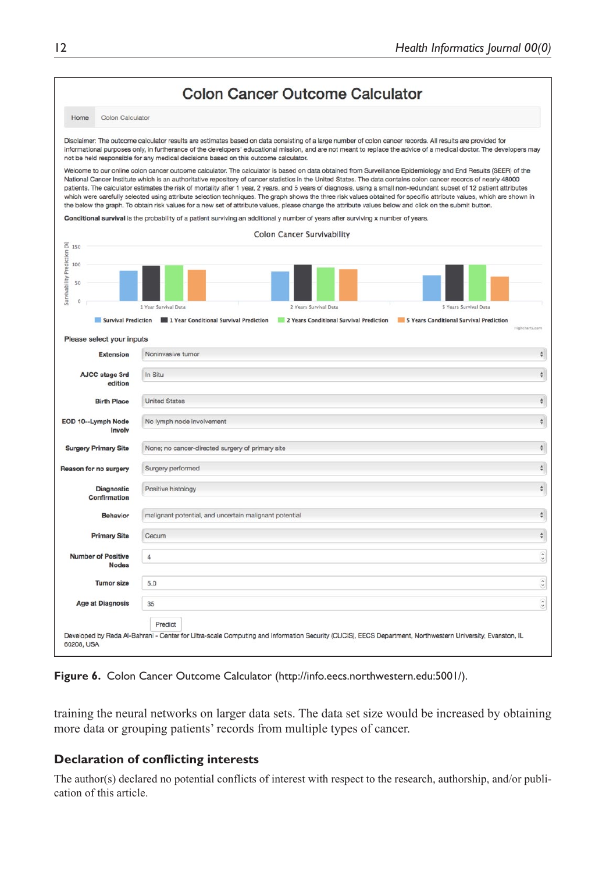|                                       |                                           |                                                                                                                                                                                                                                                  | <b>Colon Cancer Outcome Calculator</b>  |                                                                                                                                                                                                                                                                                                                                                                                                                                                                                                                                                                                                                                                                                   |
|---------------------------------------|-------------------------------------------|--------------------------------------------------------------------------------------------------------------------------------------------------------------------------------------------------------------------------------------------------|-----------------------------------------|-----------------------------------------------------------------------------------------------------------------------------------------------------------------------------------------------------------------------------------------------------------------------------------------------------------------------------------------------------------------------------------------------------------------------------------------------------------------------------------------------------------------------------------------------------------------------------------------------------------------------------------------------------------------------------------|
| Home                                  | Colon Calculator                          |                                                                                                                                                                                                                                                  |                                         |                                                                                                                                                                                                                                                                                                                                                                                                                                                                                                                                                                                                                                                                                   |
|                                       |                                           | Disclaimer: The outcome calculator results are estimates based on data consisting of a large number of colon cancer records. All results are provided for<br>not be held responsible for any medical decisions based on this outcome calculator. |                                         | informational purposes only, in furtherance of the developers' educational mission, and are not meant to replace the advice of a medical doctor. The developers may                                                                                                                                                                                                                                                                                                                                                                                                                                                                                                               |
|                                       |                                           | the below the graph. To obtain risk values for a new set of attribute values, please change the attribute values below and click on the submit button.                                                                                           |                                         | Welcome to our online colon cancer outcome calculator. The calculator is based on data obtained from Surveillance Epidemiology and End Results (SEER) of the<br>National Cancer Institute which is an authoritative repository of cancer statistics in the United States. The data contains colon cancer records of nearly 48000<br>patients. The calculator estimates the risk of mortality after 1 year, 2 years, and 5 years of diagnosis, using a small non-redundant subset of 12 patient attributes<br>which were carefully selected using attribute selection techniques. The graph shows the three risk values obtained for specific attribute values, which are shown in |
|                                       |                                           | Conditional survival is the probability of a patient surviving an additional y number of years after surviving x number of years.                                                                                                                |                                         |                                                                                                                                                                                                                                                                                                                                                                                                                                                                                                                                                                                                                                                                                   |
|                                       |                                           |                                                                                                                                                                                                                                                  | <b>Colon Cancer Survivability</b>       |                                                                                                                                                                                                                                                                                                                                                                                                                                                                                                                                                                                                                                                                                   |
| <b>8</b> 150                          |                                           |                                                                                                                                                                                                                                                  |                                         |                                                                                                                                                                                                                                                                                                                                                                                                                                                                                                                                                                                                                                                                                   |
| Survivability Prediction<br>100<br>50 |                                           |                                                                                                                                                                                                                                                  |                                         |                                                                                                                                                                                                                                                                                                                                                                                                                                                                                                                                                                                                                                                                                   |
| $\theta$                              |                                           | 1 Year Survival Data                                                                                                                                                                                                                             | 2 Years Survival Data                   | 5 Years Survival Data                                                                                                                                                                                                                                                                                                                                                                                                                                                                                                                                                                                                                                                             |
|                                       | Survival Prediction                       | 1 Year Conditional Survival Prediction                                                                                                                                                                                                           | 2 Years Conditional Survival Prediction | 5 Years Conditional Survival Prediction                                                                                                                                                                                                                                                                                                                                                                                                                                                                                                                                                                                                                                           |
|                                       | Please select your inputs                 |                                                                                                                                                                                                                                                  |                                         | Highcharts.com                                                                                                                                                                                                                                                                                                                                                                                                                                                                                                                                                                                                                                                                    |
|                                       | <b>Extension</b>                          | Noninvasive tumor                                                                                                                                                                                                                                |                                         |                                                                                                                                                                                                                                                                                                                                                                                                                                                                                                                                                                                                                                                                                   |
|                                       |                                           |                                                                                                                                                                                                                                                  |                                         |                                                                                                                                                                                                                                                                                                                                                                                                                                                                                                                                                                                                                                                                                   |
|                                       |                                           |                                                                                                                                                                                                                                                  |                                         |                                                                                                                                                                                                                                                                                                                                                                                                                                                                                                                                                                                                                                                                                   |
|                                       | AJCC stage 3rd<br>edition                 | In Situ                                                                                                                                                                                                                                          |                                         |                                                                                                                                                                                                                                                                                                                                                                                                                                                                                                                                                                                                                                                                                   |
|                                       | <b>Birth Place</b>                        | <b>United States</b>                                                                                                                                                                                                                             |                                         |                                                                                                                                                                                                                                                                                                                                                                                                                                                                                                                                                                                                                                                                                   |
|                                       | EOD 10--Lymph Node<br>Involv              | No lymph node involvement                                                                                                                                                                                                                        |                                         |                                                                                                                                                                                                                                                                                                                                                                                                                                                                                                                                                                                                                                                                                   |
|                                       | <b>Surgery Primary Site</b>               | None; no cancer-directed surgery of primary site                                                                                                                                                                                                 |                                         |                                                                                                                                                                                                                                                                                                                                                                                                                                                                                                                                                                                                                                                                                   |
|                                       | Reason for no surgery                     | Surgery performed                                                                                                                                                                                                                                |                                         |                                                                                                                                                                                                                                                                                                                                                                                                                                                                                                                                                                                                                                                                                   |
|                                       | <b>Diagnostic</b><br>Confirmation         | Positive histology                                                                                                                                                                                                                               |                                         |                                                                                                                                                                                                                                                                                                                                                                                                                                                                                                                                                                                                                                                                                   |
|                                       | <b>Behavior</b>                           | malignant potential, and uncertain malignant potential                                                                                                                                                                                           |                                         |                                                                                                                                                                                                                                                                                                                                                                                                                                                                                                                                                                                                                                                                                   |
|                                       | <b>Primary Site</b>                       | Cecum                                                                                                                                                                                                                                            |                                         |                                                                                                                                                                                                                                                                                                                                                                                                                                                                                                                                                                                                                                                                                   |
|                                       | <b>Number of Positive</b><br><b>Nodes</b> | 4                                                                                                                                                                                                                                                |                                         |                                                                                                                                                                                                                                                                                                                                                                                                                                                                                                                                                                                                                                                                                   |
|                                       | <b>Tumor size</b>                         | 5.0                                                                                                                                                                                                                                              |                                         |                                                                                                                                                                                                                                                                                                                                                                                                                                                                                                                                                                                                                                                                                   |
|                                       | <b>Age at Diagnosis</b>                   | 35                                                                                                                                                                                                                                               |                                         |                                                                                                                                                                                                                                                                                                                                                                                                                                                                                                                                                                                                                                                                                   |

**Figure 6.** Colon Cancer Outcome Calculator [\(http://info.eecs.northwestern.edu:5001/\)](http://info.eecs.northwestern.edu:5001/).

training the neural networks on larger data sets. The data set size would be increased by obtaining more data or grouping patients' records from multiple types of cancer.

# **Declaration of conflicting interests**

The author(s) declared no potential conflicts of interest with respect to the research, authorship, and/or publication of this article.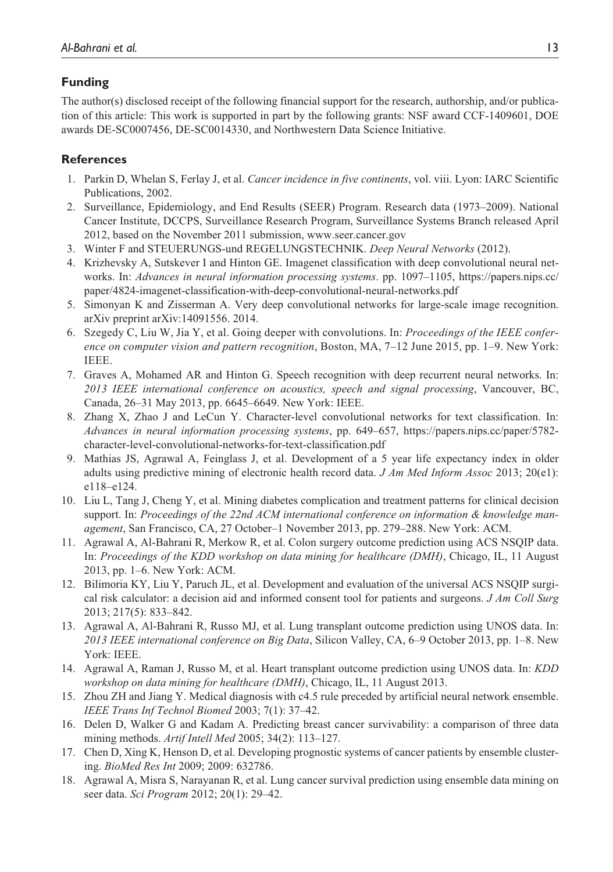## **Funding**

The author(s) disclosed receipt of the following financial support for the research, authorship, and/or publication of this article: This work is supported in part by the following grants: NSF award CCF-1409601, DOE awards DE-SC0007456, DE-SC0014330, and Northwestern Data Science Initiative.

## **References**

- 1. Parkin D, Whelan S, Ferlay J, et al. *Cancer incidence in five continents*, vol. viii. Lyon: IARC Scientific Publications, 2002.
- 2. Surveillance, Epidemiology, and End Results (SEER) Program. Research data (1973–2009). National Cancer Institute, DCCPS, Surveillance Research Program, Surveillance Systems Branch released April 2012, based on the November 2011 submission,<www.seer.cancer.gov>
- 3. Winter F and STEUERUNGS-und REGELUNGSTECHNIK. *Deep Neural Networks* (2012).
- 4. Krizhevsky A, Sutskever I and Hinton GE. Imagenet classification with deep convolutional neural networks. In: *Advances in neural information processing systems*. pp. 1097–1105, [https://papers.nips.cc/](https://papers.nips.cc/paper/4824-imagenet-classification-with-deep-convolutional-neural-networks.pdf) [paper/4824-imagenet-classification-with-deep-convolutional-neural-networks.pdf](https://papers.nips.cc/paper/4824-imagenet-classification-with-deep-convolutional-neural-networks.pdf)
- 5. Simonyan K and Zisserman A. Very deep convolutional networks for large-scale image recognition. arXiv preprint arXiv:14091556. 2014.
- 6. Szegedy C, Liu W, Jia Y, et al. Going deeper with convolutions. In: *Proceedings of the IEEE conference on computer vision and pattern recognition*, Boston, MA, 7–12 June 2015, pp. 1–9. New York: IEEE.
- 7. Graves A, Mohamed AR and Hinton G. Speech recognition with deep recurrent neural networks. In: *2013 IEEE international conference on acoustics, speech and signal processing*, Vancouver, BC, Canada, 26–31 May 2013, pp. 6645–6649. New York: IEEE.
- 8. Zhang X, Zhao J and LeCun Y. Character-level convolutional networks for text classification. In: *Advances in neural information processing systems*, pp. 649–657, [https://papers.nips.cc/paper/5782](https://papers.nips.cc/paper/5782-character-level-convolutional-networks-for-text-classification.pdf) [character-level-convolutional-networks-for-text-classification.pdf](https://papers.nips.cc/paper/5782-character-level-convolutional-networks-for-text-classification.pdf)
- 9. Mathias JS, Agrawal A, Feinglass J, et al. Development of a 5 year life expectancy index in older adults using predictive mining of electronic health record data. *J Am Med Inform Assoc* 2013; 20(e1): e118–e124.
- 10. Liu L, Tang J, Cheng Y, et al. Mining diabetes complication and treatment patterns for clinical decision support. In: *Proceedings of the 22nd ACM international conference on information & knowledge management*, San Francisco, CA, 27 October–1 November 2013, pp. 279–288. New York: ACM.
- 11. Agrawal A, Al-Bahrani R, Merkow R, et al. Colon surgery outcome prediction using ACS NSQIP data. In: *Proceedings of the KDD workshop on data mining for healthcare (DMH)*, Chicago, IL, 11 August 2013, pp. 1–6. New York: ACM.
- 12. Bilimoria KY, Liu Y, Paruch JL, et al. Development and evaluation of the universal ACS NSQIP surgical risk calculator: a decision aid and informed consent tool for patients and surgeons. *J Am Coll Surg* 2013; 217(5): 833–842.
- 13. Agrawal A, Al-Bahrani R, Russo MJ, et al. Lung transplant outcome prediction using UNOS data. In: *2013 IEEE international conference on Big Data*, Silicon Valley, CA, 6–9 October 2013, pp. 1–8. New York: IEEE.
- 14. Agrawal A, Raman J, Russo M, et al. Heart transplant outcome prediction using UNOS data. In: *KDD workshop on data mining for healthcare (DMH)*, Chicago, IL, 11 August 2013.
- 15. Zhou ZH and Jiang Y. Medical diagnosis with c4.5 rule preceded by artificial neural network ensemble. *IEEE Trans Inf Technol Biomed* 2003; 7(1): 37–42.
- 16. Delen D, Walker G and Kadam A. Predicting breast cancer survivability: a comparison of three data mining methods. *Artif Intell Med* 2005; 34(2): 113–127.
- 17. Chen D, Xing K, Henson D, et al. Developing prognostic systems of cancer patients by ensemble clustering. *BioMed Res Int* 2009; 2009: 632786.
- 18. Agrawal A, Misra S, Narayanan R, et al. Lung cancer survival prediction using ensemble data mining on seer data. *Sci Program* 2012; 20(1): 29–42.